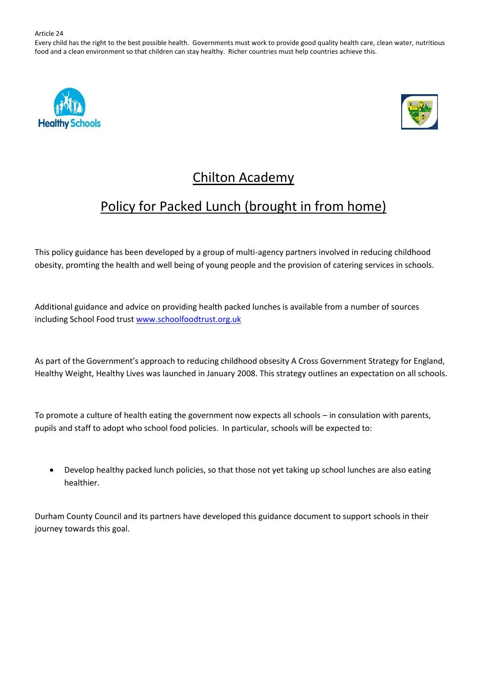Every child has the right to the best possible health. Governments must work to provide good quality health care, clean water, nutritious food and a clean environment so that children can stay healthy. Richer countries must help countries achieve this.





# Chilton Academy

# Policy for Packed Lunch (brought in from home)

This policy guidance has been developed by a group of multi-agency partners involved in reducing childhood obesity, promting the health and well being of young people and the provision of catering services in schools.

Additional guidance and advice on providing health packed lunches is available from a number of sources including School Food trus[t www.schoolfoodtrust.org.uk](http://www.schoolfoodtrust.org.uk/)

As part of the Government's approach to reducing childhood obsesity A Cross Government Strategy for England, Healthy Weight, Healthy Lives was launched in January 2008. This strategy outlines an expectation on all schools.

To promote a culture of health eating the government now expects all schools – in consulation with parents, pupils and staff to adopt who school food policies. In particular, schools will be expected to:

• Develop healthy packed lunch policies, so that those not yet taking up school lunches are also eating healthier.

Durham County Council and its partners have developed this guidance document to support schools in their journey towards this goal.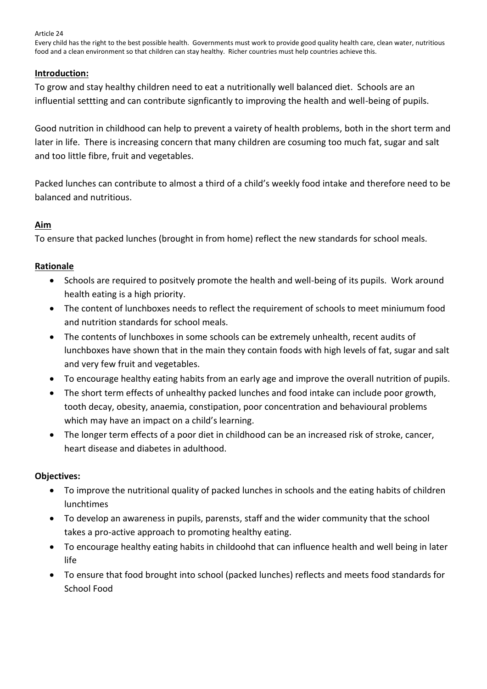Every child has the right to the best possible health. Governments must work to provide good quality health care, clean water, nutritious food and a clean environment so that children can stay healthy. Richer countries must help countries achieve this.

# **Introduction:**

To grow and stay healthy children need to eat a nutritionally well balanced diet. Schools are an influential settting and can contribute signficantly to improving the health and well-being of pupils.

Good nutrition in childhood can help to prevent a vairety of health problems, both in the short term and later in life. There is increasing concern that many children are cosuming too much fat, sugar and salt and too little fibre, fruit and vegetables.

Packed lunches can contribute to almost a third of a child's weekly food intake and therefore need to be balanced and nutritious.

# **Aim**

To ensure that packed lunches (brought in from home) reflect the new standards for school meals.

# **Rationale**

- Schools are required to positvely promote the health and well-being of its pupils. Work around health eating is a high priority.
- The content of lunchboxes needs to reflect the requirement of schools to meet miniumum food and nutrition standards for school meals.
- The contents of lunchboxes in some schools can be extremely unhealth, recent audits of lunchboxes have shown that in the main they contain foods with high levels of fat, sugar and salt and very few fruit and vegetables.
- To encourage healthy eating habits from an early age and improve the overall nutrition of pupils.
- The short term effects of unhealthy packed lunches and food intake can include poor growth, tooth decay, obesity, anaemia, constipation, poor concentration and behavioural problems which may have an impact on a child's learning.
- The longer term effects of a poor diet in childhood can be an increased risk of stroke, cancer, heart disease and diabetes in adulthood.

# **Objectives:**

- To improve the nutritional quality of packed lunches in schools and the eating habits of children lunchtimes
- To develop an awareness in pupils, parensts, staff and the wider community that the school takes a pro-active approach to promoting healthy eating.
- To encourage healthy eating habits in childoohd that can influence health and well being in later life
- To ensure that food brought into school (packed lunches) reflects and meets food standards for School Food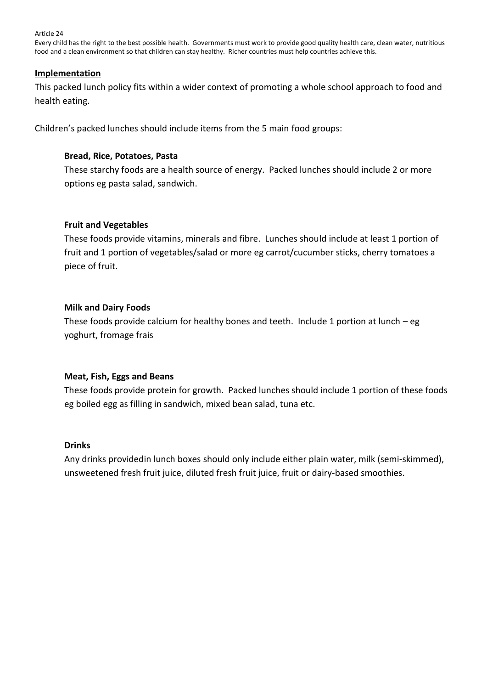Every child has the right to the best possible health. Governments must work to provide good quality health care, clean water, nutritious food and a clean environment so that children can stay healthy. Richer countries must help countries achieve this.

## **Implementation**

This packed lunch policy fits within a wider context of promoting a whole school approach to food and health eating.

Children's packed lunches should include items from the 5 main food groups:

# **Bread, Rice, Potatoes, Pasta**

These starchy foods are a health source of energy. Packed lunches should include 2 or more options eg pasta salad, sandwich.

## **Fruit and Vegetables**

These foods provide vitamins, minerals and fibre. Lunches should include at least 1 portion of fruit and 1 portion of vegetables/salad or more eg carrot/cucumber sticks, cherry tomatoes a piece of fruit.

# **Milk and Dairy Foods**

These foods provide calcium for healthy bones and teeth. Include 1 portion at lunch  $-$  eg yoghurt, fromage frais

## **Meat, Fish, Eggs and Beans**

These foods provide protein for growth. Packed lunches should include 1 portion of these foods eg boiled egg as filling in sandwich, mixed bean salad, tuna etc.

## **Drinks**

Any drinks providedin lunch boxes should only include either plain water, milk (semi-skimmed), unsweetened fresh fruit juice, diluted fresh fruit juice, fruit or dairy-based smoothies.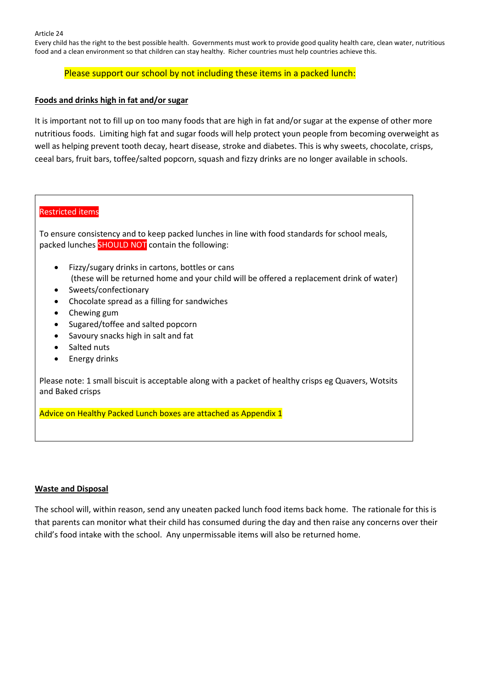Every child has the right to the best possible health. Governments must work to provide good quality health care, clean water, nutritious food and a clean environment so that children can stay healthy. Richer countries must help countries achieve this.

#### Please support our school by not including these items in a packed lunch:

#### **Foods and drinks high in fat and/or sugar**

It is important not to fill up on too many foods that are high in fat and/or sugar at the expense of other more nutritious foods. Limiting high fat and sugar foods will help protect youn people from becoming overweight as well as helping prevent tooth decay, heart disease, stroke and diabetes. This is why sweets, chocolate, crisps, ceeal bars, fruit bars, toffee/salted popcorn, squash and fizzy drinks are no longer available in schools.

## Restricted items

To ensure consistency and to keep packed lunches in line with food standards for school meals, packed lunches SHOULD NOT contain the following:

- Fizzy/sugary drinks in cartons, bottles or cans (these will be returned home and your child will be offered a replacement drink of water)
- Sweets/confectionary
- Chocolate spread as a filling for sandwiches
- Chewing gum
- Sugared/toffee and salted popcorn
- Savoury snacks high in salt and fat
- Salted nuts
- Energy drinks

Please note: 1 small biscuit is acceptable along with a packet of healthy crisps eg Quavers, Wotsits and Baked crisps

Advice on Healthy Packed Lunch boxes are attached as Appendix 1

#### **Waste and Disposal**

The school will, within reason, send any uneaten packed lunch food items back home. The rationale for this is that parents can monitor what their child has consumed during the day and then raise any concerns over their child's food intake with the school. Any unpermissable items will also be returned home.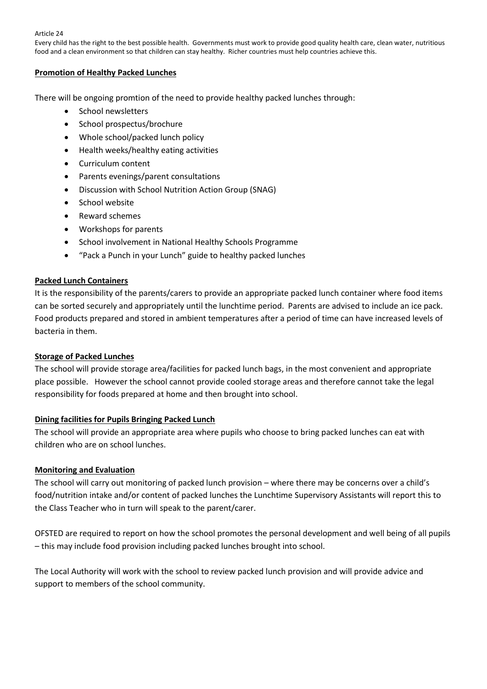Every child has the right to the best possible health. Governments must work to provide good quality health care, clean water, nutritious food and a clean environment so that children can stay healthy. Richer countries must help countries achieve this.

#### **Promotion of Healthy Packed Lunches**

There will be ongoing promtion of the need to provide healthy packed lunches through:

- School newsletters
- School prospectus/brochure
- Whole school/packed lunch policy
- Health weeks/healthy eating activities
- Curriculum content
- Parents evenings/parent consultations
- Discussion with School Nutrition Action Group (SNAG)
- School website
- Reward schemes
- Workshops for parents
- School involvement in National Healthy Schools Programme
- "Pack a Punch in your Lunch" guide to healthy packed lunches

## **Packed Lunch Containers**

It is the responsibility of the parents/carers to provide an appropriate packed lunch container where food items can be sorted securely and appropriately until the lunchtime period. Parents are advised to include an ice pack. Food products prepared and stored in ambient temperatures after a period of time can have increased levels of bacteria in them.

#### **Storage of Packed Lunches**

The school will provide storage area/facilities for packed lunch bags, in the most convenient and appropriate place possible. However the school cannot provide cooled storage areas and therefore cannot take the legal responsibility for foods prepared at home and then brought into school.

#### **Dining facilities for Pupils Bringing Packed Lunch**

The school will provide an appropriate area where pupils who choose to bring packed lunches can eat with children who are on school lunches.

#### **Monitoring and Evaluation**

The school will carry out monitoring of packed lunch provision – where there may be concerns over a child's food/nutrition intake and/or content of packed lunches the Lunchtime Supervisory Assistants will report this to the Class Teacher who in turn will speak to the parent/carer.

OFSTED are required to report on how the school promotes the personal development and well being of all pupils – this may include food provision including packed lunches brought into school.

The Local Authority will work with the school to review packed lunch provision and will provide advice and support to members of the school community.